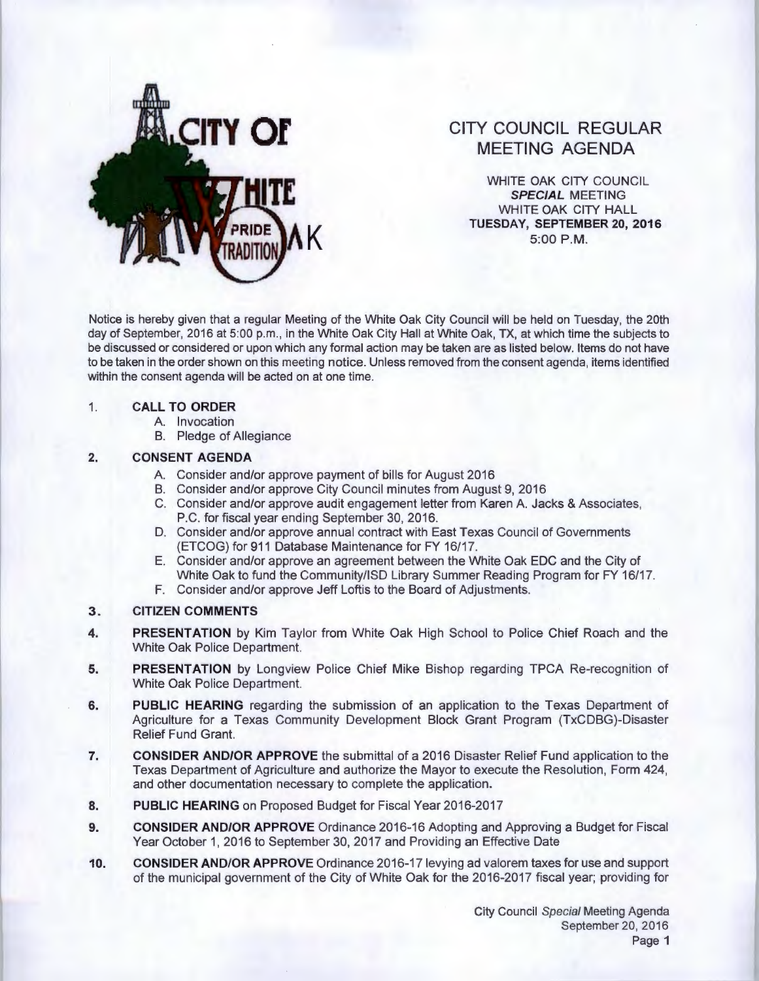

# **CITY COUNCIL REGULAR MEETING AGENDA**

WHITE OAK CITY COUNCIL **SPECIAL** MEETING WHITE OAK CITY HALL **TUESDAY, SEPTEMBER 20, 2016 5:00 P.M.** 

Notice is hereby given that a regular Meeting of the White Oak City Council will be held on Tuesday, the 20th day of September, 2016 at 5:00 p.m., in the White Oak City Hall at White Oak, TX, at which time the subjects to be discussed or considered or upon which any formal action may be taken are as listed below. Items do not have to be taken in the order shown on this meeting notice. Unless removed from the consent agenda, items identified within the consent agenda will be acted on at one time.

#### 1. **CALL TO ORDER**

- A. Invocation
- B. Pledge of Allegiance

## **2. CONSENT AGENDA**

- A. Consider and/or approve payment of bills for August 2016
- B. Consider and/or approve City Council minutes from August 9, 2016
- C. Consider and/or approve audit engagement letter from Karen A Jacks & Associates, P.C. for fiscal year ending September 30, 2016.
- D. Consider and/or approve annual contract with East Texas Council of Governments (ETCOG) for 911 Database Maintenance for FY 16/17.
- E. Consider and/or approve an agreement between the White Oak EDC and the City of White Oak to fund the Community/ISD Library Summer Reading Program for FY 16/17.
- F. Consider and/or approve Jeff Loftis to the Board of Adjustments.

## **3. CITIZEN COMMENTS**

- **4. PRESENTATION** by Kim Taylor from White Oak High School to Police Chief Roach and the White Oak Police Department
- **5. PRESENTATION** by Longview Police Chief Mike Bishop regarding TPCA Re-recognition of White Oak Police Department
- **6. PUBLIC HEARING** regarding the submission of an application to the Texas Department of Agriculture for a Texas Community Development Block Grant Program (TxCDBG)-Disaster Relief Fund Grant
- **7. CONSIDER AND/OR APPROVE** the submittal of a 2016 Disaster Relief Fund application to the Texas Department of Agriculture and authorize the Mayor to execute the Resolution, Form 424, and other documentation necessary to complete the application.
- **8. PUBLIC HEARING** on Proposed Budget for Fiscal Year 2016-2017
- **9. CONSIDER AND/OR APPROVE** Ordinance 2016-16 Adopting and Approving a Budget for Fiscal Year October 1, 2016 to September 30, 2017 and Providing an Effective Date
- **10. CONSIDER AND/OR APPROVE** Ordinance 2016-17 levying ad valorem taxes for use and support of the municipal government of the City of White Oak for the 2016-2017 fiscal year; providing for